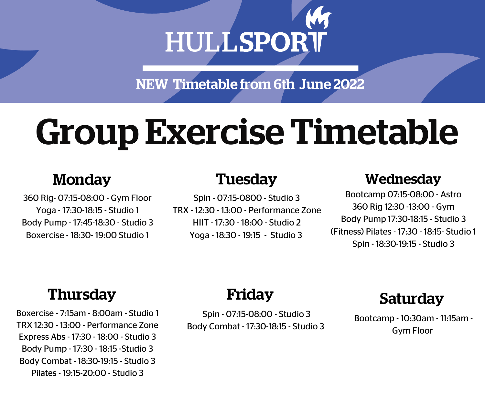# HULLSPORT

NEW Timetable from 6th June 2022

# Group Exercise Timetable

360 Rig- 07:15-08:00 - Gym Floor Yoga - 17:30-18:15 - Studio 1 Body Pump - 17:45-18:30 - Studio 3 Boxercise - 18:30- 19:00 Studio 1

Spin - 07:15-0800 - Studio 3 TRX - 12:30 - 13:00 - Performance Zone HIIT - 17:30 - 18:00 - Studio 2 Yoga - 18:30 - 19:15 - Studio 3

## Monday Wednesday Tuesday

Bootcamp 07:15-08:00 - Astro 360 Rig 12:30 -13:00 - Gym Body Pump 17:30-18:15 - Studio 3 (Fitness) Pilates - 17:30 - 18:15- Studio 1 Spin - 18:30-19:15 - Studio 3

## Thursday

Boxercise - 7:15am - 8:00am - Studio 1 TRX 12:30 - 13:00 - Performance Zone Express Abs - 17:30 - 18:00 - Studio 3 Body Pump - 17:30 - 18:15 -Studio 3 Body Combat - 18:30-19:15 - Studio 3 Pilates - 19:15-20:00 - Studio 3

## Friday

Spin - 07:15-08:00 - Studio 3 Body Combat - 17:30-18:15 - Studio 3

## Saturday

Bootcamp - 10:30am - 11:15am - Gym Floor